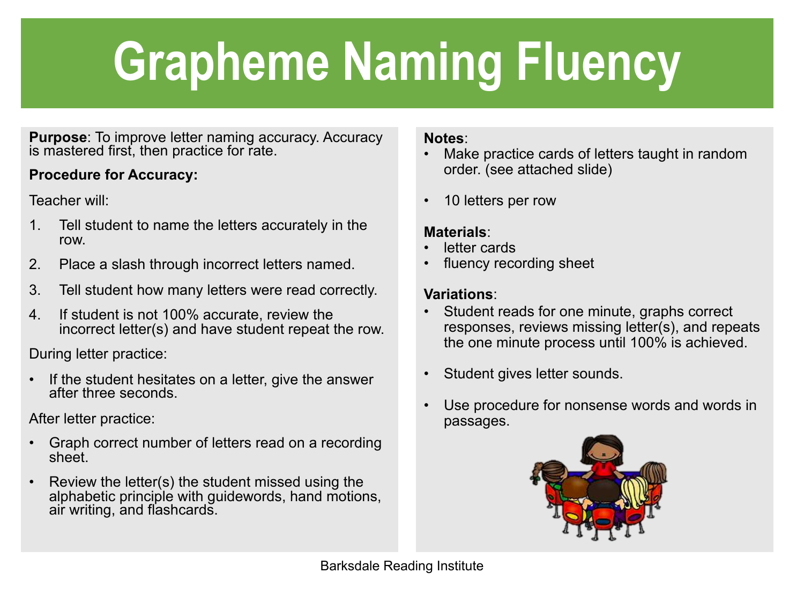# **Grapheme Naming Fluency**

**Purpose**: To improve letter naming accuracy. Accuracy is mastered first, then practice for rate.

### **Procedure for Accuracy:**

Teacher will:

- 1. Tell student to name the letters accurately in the row.
- 2. Place a slash through incorrect letters named.
- 3. Tell student how many letters were read correctly.
- 4. If student is not 100% accurate, review the incorrect letter(s) and have student repeat the row.

During letter practice:

If the student hesitates on a letter, give the answer after three seconds.

After letter practice:

- Graph correct number of letters read on a recording sheet.
- Review the letter(s) the student missed using the alphabetic principle with guidewords, hand motions, air writing, and flashcards.

#### **Notes**:

- Make practice cards of letters taught in random order. (see attached slide)
- 10 letters per row

#### **Materials**:

- letter cards
- fluency recording sheet

#### **Variations**:

- Student reads for one minute, graphs correct responses, reviews missing letter(s), and repeats the one minute process until 100% is achieved.
- Student gives letter sounds.
- Use procedure for nonsense words and words in passages.